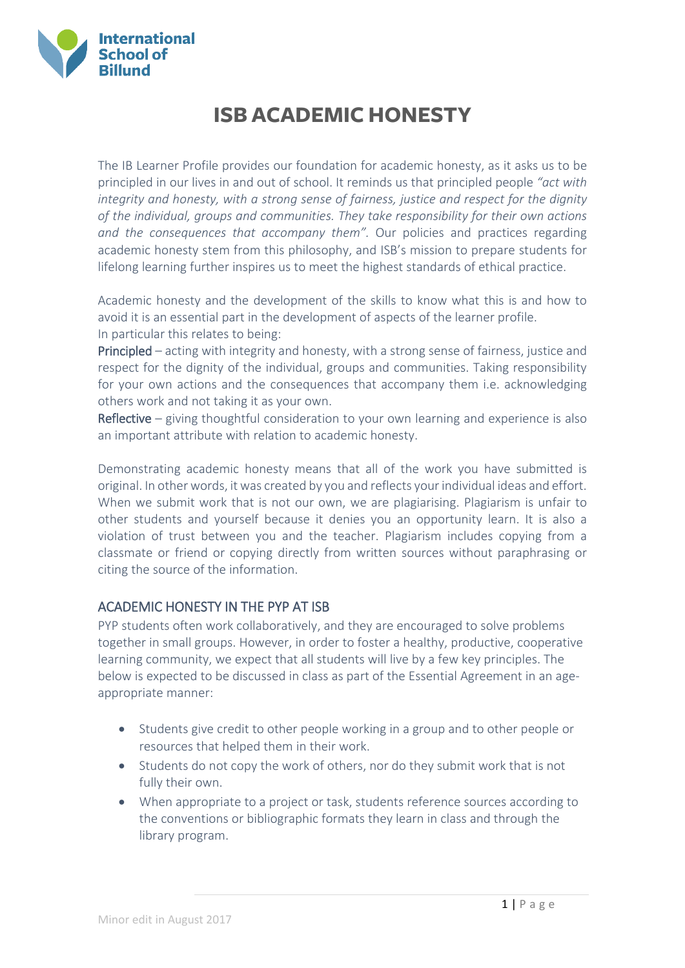

# **ISB ACADEMIC HONESTY**

The IB Learner Profile provides our foundation for academic honesty, as it asks us to be principled in our lives in and out of school. It reminds us that principled people *"act with integrity and honesty, with a strong sense of fairness, justice and respect for the dignity of the individual, groups and communities. They take responsibility for their own actions and the consequences that accompany them".* Our policies and practices regarding academic honesty stem from this philosophy, and ISB's mission to prepare students for lifelong learning further inspires us to meet the highest standards of ethical practice.

Academic honesty and the development of the skills to know what this is and how to avoid it is an essential part in the development of aspects of the learner profile. In particular this relates to being:

Principled – acting with integrity and honesty, with a strong sense of fairness, justice and respect for the dignity of the individual, groups and communities. Taking responsibility for your own actions and the consequences that accompany them i.e. acknowledging others work and not taking it as your own.

Reflective – giving thoughtful consideration to your own learning and experience is also an important attribute with relation to academic honesty.

Demonstrating academic honesty means that all of the work you have submitted is original. In other words, it was created by you and reflects your individual ideas and effort. When we submit work that is not our own, we are plagiarising. Plagiarism is unfair to other students and yourself because it denies you an opportunity learn. It is also a violation of trust between you and the teacher. Plagiarism includes copying from a classmate or friend or copying directly from written sources without paraphrasing or citing the source of the information.

## ACADEMIC HONESTY IN THE PYP AT ISB

PYP students often work collaboratively, and they are encouraged to solve problems together in small groups. However, in order to foster a healthy, productive, cooperative learning community, we expect that all students will live by a few key principles. The below is expected to be discussed in class as part of the Essential Agreement in an ageappropriate manner:

- Students give credit to other people working in a group and to other people or resources that helped them in their work.
- Students do not copy the work of others, nor do they submit work that is not fully their own.
- When appropriate to a project or task, students reference sources according to the conventions or bibliographic formats they learn in class and through the library program.